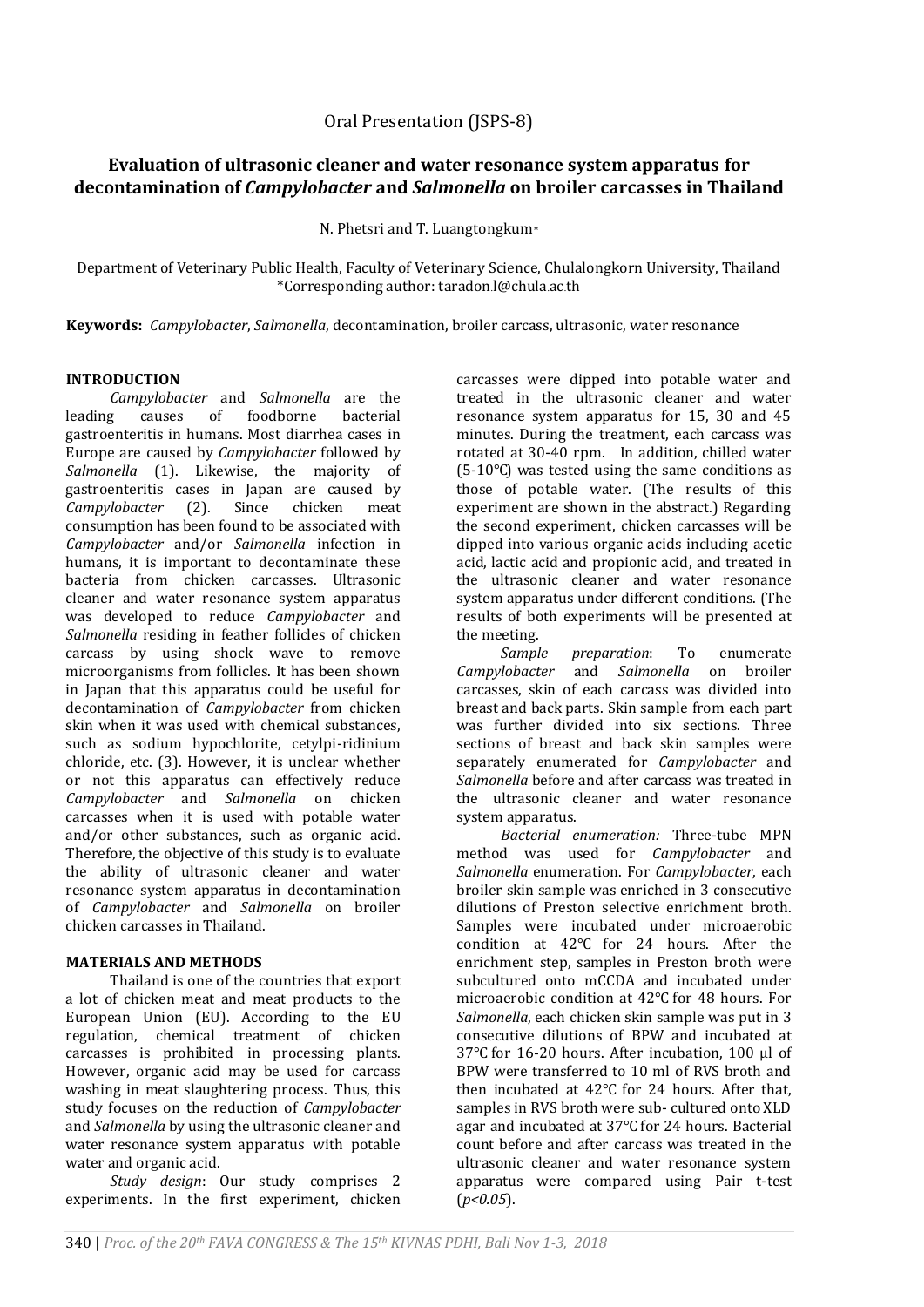# **Evaluation of ultrasonic cleaner and water resonance system apparatus for decontamination of** *Campylobacter* **and** *Salmonella* **on broiler carcasses in Thailand**

N. Phetsri and T. Luangtongkum*\**

Department of Veterinary Public Health, Faculty of Veterinary Science, Chulalongkorn University, Thailand \*Corresponding author: taradon.l@chula.ac.th

**Keywords:** *Campylobacter*, *Salmonella*, decontamination, broiler carcass, ultrasonic, water resonance

## **INTRODUCTION**

*Campylobacter* and *Salmonella* are the leading causes of foodborne bacterial gastroenteritis in humans. Most diarrhea cases in Europe are caused by *Campylobacter* followed by *Salmonella* (1). Likewise, the majority of gastroenteritis cases in Japan are caused by Campylobacter (2). Since chicken meat *Campylobacter* (2). Since chicken meat consumption has been found to be associated with *Campylobacter* and/or *Salmonella* infection in humans, it is important to decontaminate these bacteria from chicken carcasses. Ultrasonic cleaner and water resonance system apparatus was developed to reduce *Campylobacter* and *Salmonella* residing in feather follicles of chicken carcass by using shock wave to remove microorganisms from follicles. It has been shown in Japan that this apparatus could be useful for decontamination of *Campylobacter* from chicken skin when it was used with chemical substances, such as sodium hypochlorite, cetylpi-ridinium chloride, etc. (3). However, it is unclear whether or not this apparatus can effectively reduce *Campylobacter* and *Salmonella* on chicken carcasses when it is used with potable water and/or other substances, such as organic acid. Therefore, the objective of this study is to evaluate the ability of ultrasonic cleaner and water resonance system apparatus in decontamination of *Campylobacter* and *Salmonella* on broiler chicken carcasses in Thailand.

## **MATERIALS AND METHODS**

Thailand is one of the countries that export a lot of chicken meat and meat products to the European Union (EU). According to the EU regulation, chemical treatment of chicken carcasses is prohibited in processing plants. However, organic acid may be used for carcass washing in meat slaughtering process. Thus, this study focuses on the reduction of *Campylobacter* and *Salmonella* by using the ultrasonic cleaner and water resonance system apparatus with potable water and organic acid.

*Study design*: Our study comprises 2 experiments. In the first experiment, chicken carcasses were dipped into potable water and treated in the ultrasonic cleaner and water resonance system apparatus for 15, 30 and 45 minutes. During the treatment, each carcass was rotated at 30-40 rpm. In addition, chilled water (5-10℃) was tested using the same conditions as those of potable water. (The results of this experiment are shown in the abstract.) Regarding the second experiment, chicken carcasses will be dipped into various organic acids including acetic acid, lactic acid and propionic acid, and treated in the ultrasonic cleaner and water resonance system apparatus under different conditions. (The results of both experiments will be presented at the meeting.

*Sample preparation*: To enumerate *Campylobacter* and *Salmonella* on broiler carcasses, skin of each carcass was divided into breast and back parts. Skin sample from each part was further divided into six sections. Three sections of breast and back skin samples were separately enumerated for *Campylobacter* and *Salmonella* before and after carcass was treated in the ultrasonic cleaner and water resonance system apparatus.

*Bacterial enumeration:* Three-tube MPN method was used for *Campylobacter* and *Salmonella* enumeration. For *Campylobacter*, each broiler skin sample was enriched in 3 consecutive dilutions of Preston selective enrichment broth. Samples were incubated under microaerobic condition at 42℃ for 24 hours. After the enrichment step, samples in Preston broth were subcultured onto mCCDA and incubated under microaerobic condition at 42℃ for 48 hours. For *Salmonella*, each chicken skin sample was put in 3 consecutive dilutions of BPW and incubated at 37°C for 16-20 hours. After incubation, 100 µl of BPW were transferred to 10 ml of RVS broth and then incubated at 42℃ for 24 hours. After that, samples in RVS broth were sub- cultured onto XLD agar and incubated at 37℃ for 24 hours. Bacterial count before and after carcass was treated in the ultrasonic cleaner and water resonance system apparatus were compared using Pair t-test (*p<0.05*).